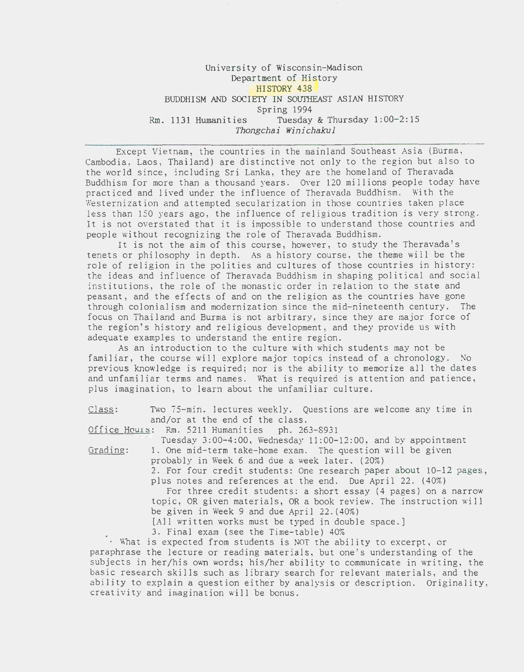# University of Wisconsin-Madison Department of History HISTORY 438 BUDDHISM AND SOCIETY IN SOUTHEAST ASIAN HISTORY Spring 1994 Rm. 1131 Humanities Tuesday & Thursday 1:00-2:15 *Thongchai Winichakul*

Except Vietnam, the countries in the mainland Southeast Asia (Burma, Cambodia, Laos, Thailand) are distinctive not only to the region but also to the world since, including Sri Lanka, they are the homeland of Theravada Buddhism for more than a thousand years. Over 120 millions people today have practiced and lived under the influence of Theravada Buddhism. With the Westernization and attempted secularization in those countries taken place less than 150 years ago, the influence of religious tradition is very strong. It is not overstated that it is impossible to understand those countries and people without recognizing the role of Theravada Buddhism.

It is not the aim of this course, however, to study the Theravada's tenets or philosophy in depth. As a history course, the theme will be the role of religion in the polities and cultures of those countries in history: the ideas and influence of Theravada Buddhism in shaping political and social institutions, the role of the monastic order in relation to the state and peasant, and the effects of and on the religion as the countries have gone through colonialism and modernization since the mid-nineteenth century. The focus on Thailand and Burma is not arbitrary, since they are major force of the region's history and religious development, and they provide us with adequate examples to understand the entire region.

As an introduction to the culture with which students may not be familiar, the course will explore major topics instead of a chronology. No previous knowledge is required; nor is the ability to memorize all the dates and unfamiliar terms and names. What is required is attention and patience. plus imagination, to learn about the unfamiliar culture.

Class: Two 75-min. lectures weekly. Questions are welcome any time in and/or at the end of the class.

Office Hours: Rm. 5211 Humanities ph. 263-8931

Tuesday 3:00-4:00, Wednesday 11:00-12:00, and by appointment Grading: 1. One mid-term take-home exam. The question will be given probably in Week 6 and due a week later. (20%)

2. For four credit students: One research paper about 10-12 pages,

plus notes and references at the end. Due April 22. (40%) For three credit students: a short essay (4 pages) on a narrow

topic, OR given materials, OR a book review. The instruction will be given in Week 9 and due April 22.(40%)

[All written works must be typed in double space.]

3. Final exam (see the Time-table) 40%

 $\cdot$  What is expected from students is NOT the ability to excerpt, or paraphrase the lecture or reading materials, but one's understanding of the subjects in her/his own words; his/her ability to communicate in writing, the basic research skills such as library search for relevant materials, and the ability to explain a question either by analysis or description. Originality, creativity and imagination will be bonus.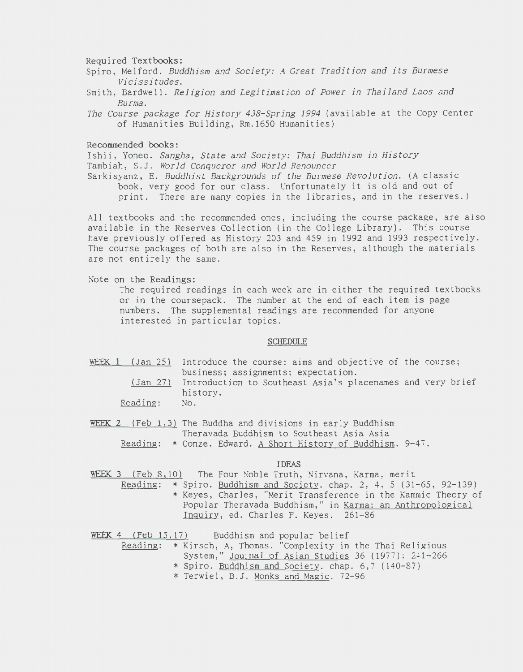#### Required Textbooks:

- Spiro, Melford. *Buddhism and Society: A Great Tradition and its Burmese Vicissitudes.*
- Smith, Bardwell. *Religion and Legitimation of Power in Thailand Laos and Burma.*
- *The Course package for History 438-Spring 1994* (available at the Copy Center of Humanities Building, Rm.1650 Humanities)

Recommended books:

Ishii, Yoneo. *Sangha, State and Society: Thai Buddhism in History*  Tambiah, S.J. *World Conqueror and World Renouncer* 

Sarkisyanz, E. *Buddhist Backgrounds of the Burmese Revolution.* (A classic book, very good for our class. Unfortunately it is old and out of print. There are many copies in the libraries, and in the reserves.)

All textbooks and the recommended ones, including the course package, are also available in the Reserves Collection (in the College Library). This course have previously offered as History 203 and 459 in 1992 and 1993 respectively. The course packages of both are also in the Reserves, although the materials are not entirely the same.

Note on the Readings:

The required readings in each week are in either the required textbooks or in the coursepack. The number at the end of each item is page numbers. The supplemental readings are recommended for anyone interested in particular topics.

#### SCHEDULE

- WEEK 1 (Jan 25) Introduce the course: aims and objective of the course; business; assignments; expectation. (Jan 27) Introduction to Southeast Asia's placenames and very brief history. Reading: No.
- WEEK 2 (Feb 1.3) The Buddha and divisions in early Buddhism Theravada Buddhism to Southeast Asia Asia Reading: \* Conze, Edward. A Short History of Buddhism. 9-47.

### IDEAS

WEEK 3 (Feb 8,10) The Four Noble Truth, Nirvana, Karma, merit

Reading: \* Spiro. Buddhism and Society. chap. 2, 4, 5 (31-65, 92-139) \* Keyes, Charles, "Merit Transference in the Kammic Theory of Popular Theravada Buddhism," in Karma: an Anthropological Inquiry, ed. Charles F. Keyes. 261-86

WEEK 4 (Feb 15,17) Buddhism and popular belief

- Reading: \* Kirsch, A, Thomas. "Complexity in the Thai Religious System," Journal of Asian Studies 36 (1977): 241-266 \* Spiro. Buddhism and Society. chap. 6,7 (140-87)
	- \* Terwiel, B.J. Monks and Magic. 72-96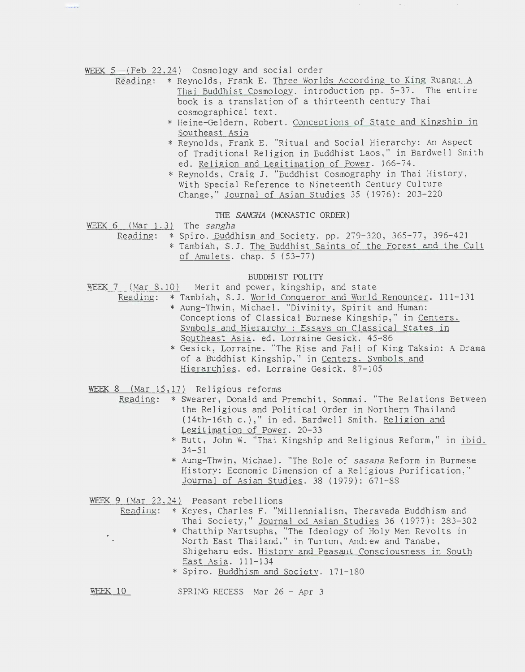WEEK 5 (Feb 22,24) Cosmology and social order

- Reading: \* Reynolds, Frank E. Three Worlds According to King Ruang: A Thai Buddhist Cosmologv. introduction pp. 5-37. The entire book is a translation of a thirteenth century Thai cosmographical text.
	- \* Heine-Geldern, Robert. Conceptions of State and Kingship in Southeast Asia
	- \* Reynolds, Frank E. "Ritual and Social Hierarchy: An Aspect of Traditional Religion in Buddhist Laos," in Bardwell Smith ed. Religion and Legitimation of Power. 166-74.
	- \* Reynolds, Craig J. "Buddhist Cosmography in Thai History , With Special Reference to Nineteenth Century Culture Change," Journal of Asian Studies 35 (1976): 203-220

THE SANGHA (MONASTIC ORDER)

- WEEK  $6$  (Mar  $1.3$ ) The sangha
	- Reading: \* Spiro. Buddhism and Society. pp. 279-320, 365-77, 396-421 \* Tambiah, S.J. The Buddhist Saints of the Forest and the Cult of Amulets. chap. 5 (53-77)

BUDDHIST POLITY

- WEEK 7 (Mar 8.10) Merit and power, kingship, and state
	- Reading: \* Tambiah, S.J. World Conqueror and World Renouncer. 111-131 \* Aung-Thwin, Michael. "Divinity, Spirit and Human: Conceptions of Classical Burmese Kingship," in Centers.
		- Symbols and Hierarchy : Essays on Classical States in Southeast Asia. ed. Lorraine Gesick. 45-86 \* Gesick, Lorraine. "The Rise and Fall of King Taksin: A Drama
		- of a Buddhist Kingship," in Centers. Svmbols and Hierarchies. ed. Lorraine Gesick. 87-105
- WEEK 8 (Mar 15,17) Religious reforms
	- Reading: \* Swearer, Donald and Premchit, Sommai. "The Relations Between the Religious and Political Order in Northern Thailand (14th-16th c.)," in ed. Bardwell Smith. Religion and Legitimation of Power. 20-33
		- \*Butt, John W. "Thai Kingship and Religious Reform," in ibid. 34-51
		- \* Aung-Thwin, Michael. "The Role of sasana Reform in Burmese History: Economic Dimension of a Religious Purification," Journal of Asian Studies. 38 (1979): 671-88

WEEK 9 (Mar 22.24) Peasant rebellions

- Reading: \*Keyes, Charles F. "Millennialism, Theravada Buddhism and Thai Society," Journal od Asian Studies 36 (1977): 283-302
	- \* Chatthip Nartsupha, "The Ideology of Holy Men Revolts in North East Thailand," in Turton, Andrew and Tanabe, Shigeharu eds. History and Peasant Consciousness in South East Asia. 111-134
	- \* Spiro. Buddhism and Society. 171-180

WEEK 10 SPRING RECESS Mar 26 - Apr 3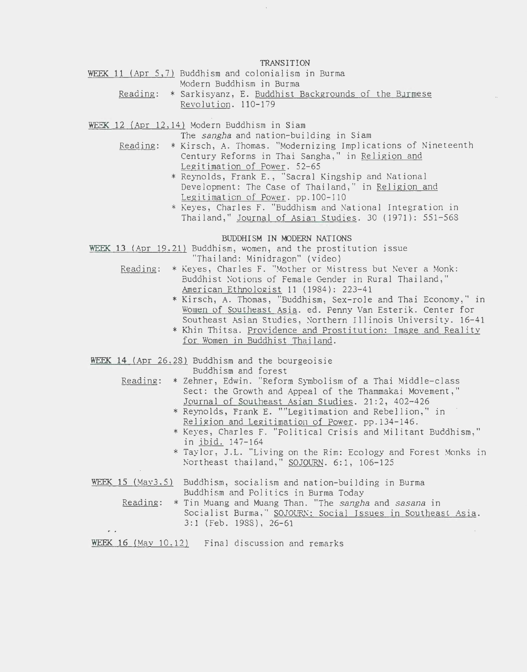TRANSITION

WEEK 11 (Apr 5,7) Buddhism and colonialism in Burma

Modern Buddhism in Burma Reading: \* Sarkisyanz, E. Buddhist Backgrounds of the Burmese Revolution. 110-179

WEEK 12 (Apr 12, 14) Modern Buddhism in Siam

The sangha and nation-building in Siam

- Reading: \* Kirsch, A. Thomas. "Modernizing Implications of Nineteenth Century Reforms in Thai Sangha," in Religion and Legitimation of Power. 52-65
	- \*Reynolds, Frank E., "Sacral Kingship and National Development: The Case of Thailand," in Religion and Legitimation of Power. pp.100-110
	- \*Keyes, Charles F. "Buddhism and National Integration in Thailand," Journal of Asian Studies. 30 (1971): 551-568

### BUDDHISM IN MODERN NATIONS

WEEK 13 (Apr 19.21) Buddhism, women, and the prostitution issue

"Thailand: Minidragon" (video)

- Readine: \* Keyes, Charles F. "Mother or Mistress but Never a Monk: Buddhist Notions of Female Gender in Rural Thailand," American Ethnoloeist 11 (1984): 223-41
	- \*Kirsch, A. Thomas, "Buddhism, Sex-role and Thai Economy ," in Women of Southeast Asia. ed. Penny Van Esterik. Center for Southeast Asian Studies, Northern Illinois University. 16-41
	- \* Khin Thitsa. Providence and Prostitution: Image and Reality for Women in Buddhist Thailand.

WEEK 14 (Apr 26,28) Buddhism and the bourgeoisie

Buddhism and forest

- Reading: \* Zehner, Edwin. "Reform Symbolism of a Thai Middle-class Sect: the Growth and Appeal of the Thammakai Movement," Journal of Southeast Asian Studies. 21:2, 402-426
	- \*Reynolds, Frank E. ""Legitimation and Rebellion," in Religion and Legitimation of Power. pp.134-146.
	- \*Keyes, Charles F. "Political Crisis and Militant Buddhism," in ibid. 147-164
	- \* Taylor, J.L. "Living on the Rim: Ecology and Forest Monks in Northeast thailand," SOJOURN. 6:1, 106-125
- WEEK 15 (May3.5) Buddhism, socialism and nation-building in Burma Buddhism and Politics in Burma Today
	- Reading: \* Tin Muang and Muang Than. "The sangha and sasana in Socialist Burma," SOJOURN: Social Issues in Southeast Asia. 3: 1 (Feb. 1988) , 26-61  $\sim$
- WEEK 16 (May 10.12) Final discussion and remarks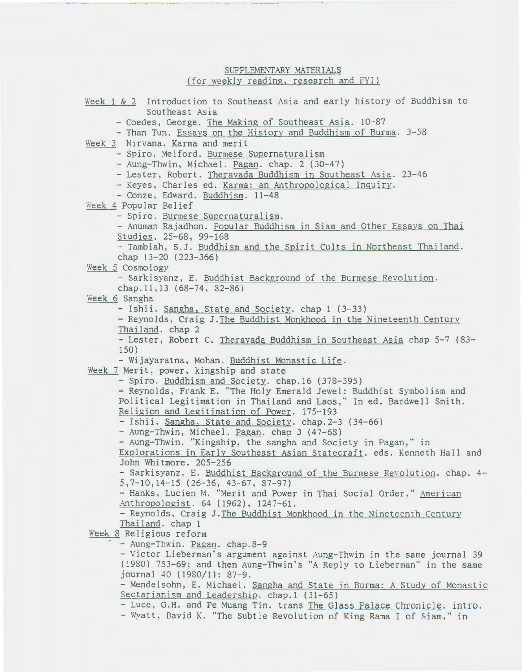## SUPPLEMENTARY MATERIALS (for weekly reading, research and FYI)

Week 1 & *2* Introduction to Southeast Asia and early history of Buddhism to Southeast Asia - Coedes, George. The Making of Southeast Asia. 10-87 - Than Tun. Essays on the History and Buddhism of Burma. 3-58 Week 3 Nirvana, Karma and merit - Spiro, Melford. Burmese Supernaturalism - Aung-Thwin, Michael. Pagan. chap. 2 (30-47) -Lester, Robert. Theravada Buddhism in Southeast Asia. 23-46 - Keyes, Charles ed. Karma: an Anthropological InquirY. - Conze, Edward. Buddhism. 11-48 Week 4 Popular Belief - Spiro. Burmese Supernaturalism. - Anuman Rajadhon. Popular Buddhism in Siam and Other Essays on Thai Studies. 25-68, 99-168 - Tambiah, S.J. Buddhism and the Spirit Cults in Northeast Thailand. chap 13-20 (223-366) Week 5 Cosmology - Sarkisyanz, E. Buddhist Background of the Burmese Revolution. chap.11,13 (68-74, 32-86) Week 6 Sangha - Ishii. Sangha, State and Society. chap 1 (3-33) -Reynolds, Craig J.The Buddhist Monkhood in the Nineteenth Century Thailand. chap 2 - Lester, Robert C. Theravada Buddhism in Southeast Asia chap 5-7 (33- 150) - Wijayaratna, Mohan. Buddhist Monastic Life. Week 7 Merit, power, kingship and state - Spiro. Buddhism and Society. chap.16 (378-395) -Reynolds, Frank E. "The Holy Emerald Jewel: Buddhist Symbolism and Political Legitimation in Thailand and Laos,'' In ed. Bardwell Smith. Religion and Legitimation of Power. 175-193 - Ishii. Sangha, State and Society. chap.2-3 (34-66) - Aung-Thwin, Michael. Pagan. chap 3 (47-63) - Aung-Thwin. ''Kingship, the sangha and Society in Pagan," in Explorations in Early Southeast Asian Statecraft. eds. Kenneth Hall and John Wnitmore. 205-256 - Sarkisyanz, E. Buddhist Background of the Burmese Revolution. chap. 4-5,7-10,14-15 (26-36, 43-67, 87-97) - Hanks, Lucien M. "Merit and Power in Thai Social Order," American Anthropologist. 64 (1962), 1247-61. - Reynolds, Craig J.The Buddhist Monkhood in the Nineteenth Century Thailand. chap 1 Week 8 Religious reform - Aung-Thwin. Pagan. chap.3-9 -Victor Lieberman's argument against Aung-Thwin in the same journal *39*  (1980) 753-69; and then Aung-Thwin's "A Reply to Lieberman" in the same journal 40 (1980/1): 37-9. - Mendelsohn, E. Michael. Sangha and State in Burma: A Study of Monastic Sectarianism and Leadership. chap.1 (31-65) - Luce, G.H. and Pe Muang Tin. trans The Glass Palace Chronicle. intro. -Wyatt, David K. "The Subtle Revolution of King Rama I of Siam," in